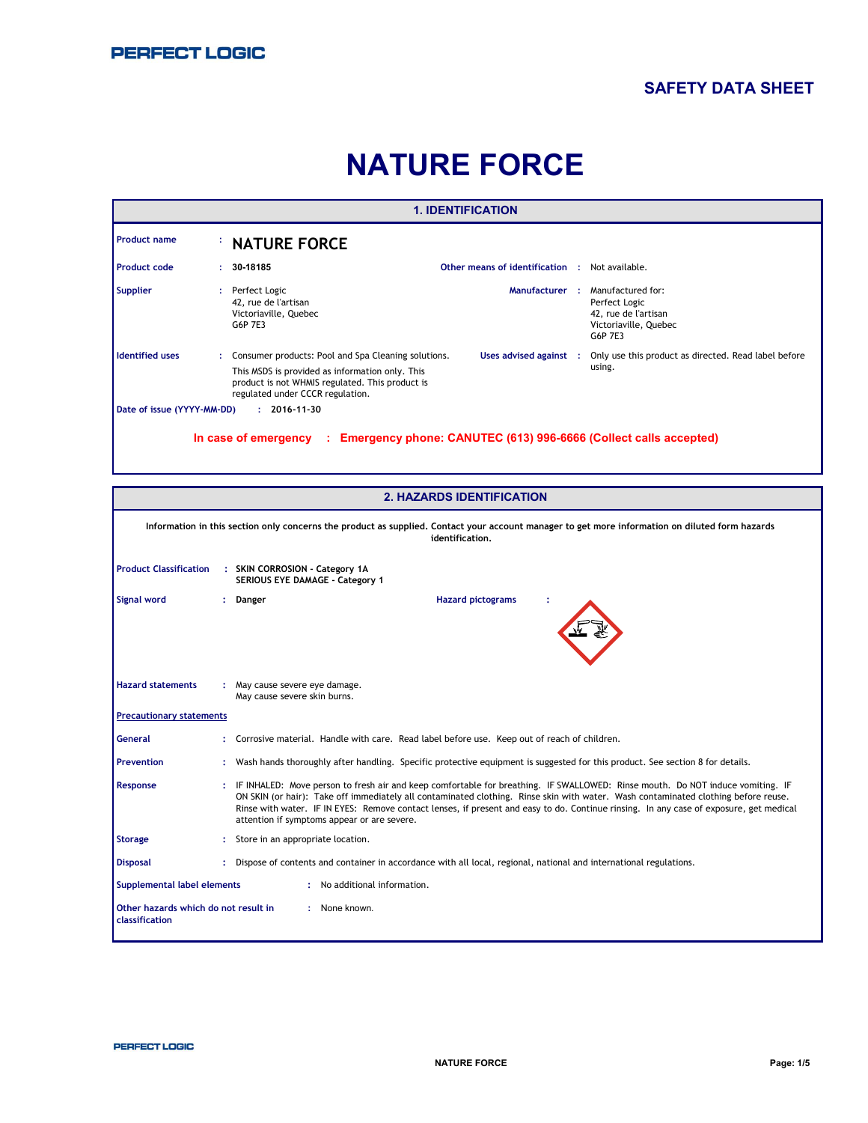## **SAFETY DATA SHEET**

# **NATURE FORCE**

|                            |   |                                                                                                                                                                                               | <b>1. IDENTIFICATION</b>                       |                                                                                                |
|----------------------------|---|-----------------------------------------------------------------------------------------------------------------------------------------------------------------------------------------------|------------------------------------------------|------------------------------------------------------------------------------------------------|
| <b>Product name</b>        |   | <b>NATURE FORCE</b>                                                                                                                                                                           |                                                |                                                                                                |
| <b>Product code</b>        | ÷ | 30-18185                                                                                                                                                                                      | Other means of identification : Not available. |                                                                                                |
| <b>Supplier</b>            |   | Perfect Logic<br>42, rue de l'artisan<br>Victoriaville, Quebec<br>G6P 7E3                                                                                                                     | Manufacturer:                                  | Manufactured for:<br>Perfect Logic<br>42, rue de l'artisan<br>Victoriaville, Quebec<br>G6P 7E3 |
| <b>Identified uses</b>     |   | Consumer products: Pool and Spa Cleaning solutions.<br>This MSDS is provided as information only. This<br>product is not WHMIS regulated. This product is<br>regulated under CCCR regulation. | Uses advised against :                         | Only use this product as directed. Read label before<br>using.                                 |
| Date of issue (YYYY-MM-DD) |   | $: 2016 - 11 - 30$<br>In case of emergency<br>$\sim 20\%$                                                                                                                                     |                                                | Emergency phone: CANUTEC (613) 996-6666 (Collect calls accepted)                               |

|                                                               | <b>2. HAZARDS IDENTIFICATION</b>                                                                                                                                                                                                                                                                                                                                                                                                                              |
|---------------------------------------------------------------|---------------------------------------------------------------------------------------------------------------------------------------------------------------------------------------------------------------------------------------------------------------------------------------------------------------------------------------------------------------------------------------------------------------------------------------------------------------|
|                                                               | Information in this section only concerns the product as supplied. Contact your account manager to get more information on diluted form hazards<br>identification.                                                                                                                                                                                                                                                                                            |
| <b>Product Classification</b>                                 | : SKIN CORROSION - Category 1A<br>SERIOUS EYE DAMAGE - Category 1                                                                                                                                                                                                                                                                                                                                                                                             |
| <b>Signal word</b>                                            | <b>Hazard pictograms</b><br>Danger                                                                                                                                                                                                                                                                                                                                                                                                                            |
| <b>Hazard statements</b>                                      | : May cause severe eye damage.<br>May cause severe skin burns.                                                                                                                                                                                                                                                                                                                                                                                                |
| <b>Precautionary statements</b>                               |                                                                                                                                                                                                                                                                                                                                                                                                                                                               |
| General                                                       | Corrosive material. Handle with care. Read label before use. Keep out of reach of children.                                                                                                                                                                                                                                                                                                                                                                   |
| <b>Prevention</b>                                             | Wash hands thoroughly after handling. Specific protective equipment is suggested for this product. See section 8 for details.                                                                                                                                                                                                                                                                                                                                 |
| Response                                                      | IF INHALED: Move person to fresh air and keep comfortable for breathing. IF SWALLOWED: Rinse mouth. Do NOT induce vomiting. IF<br>ON SKIN (or hair): Take off immediately all contaminated clothing. Rinse skin with water. Wash contaminated clothing before reuse.<br>Rinse with water. IF IN EYES: Remove contact lenses, if present and easy to do. Continue rinsing. In any case of exposure, get medical<br>attention if symptoms appear or are severe. |
| <b>Storage</b>                                                | Store in an appropriate location.                                                                                                                                                                                                                                                                                                                                                                                                                             |
| <b>Disposal</b>                                               | : Dispose of contents and container in accordance with all local, regional, national and international regulations.                                                                                                                                                                                                                                                                                                                                           |
| <b>Supplemental label elements</b>                            | : No additional information.                                                                                                                                                                                                                                                                                                                                                                                                                                  |
| Other hazards which do not result in<br><b>classification</b> | : None known.                                                                                                                                                                                                                                                                                                                                                                                                                                                 |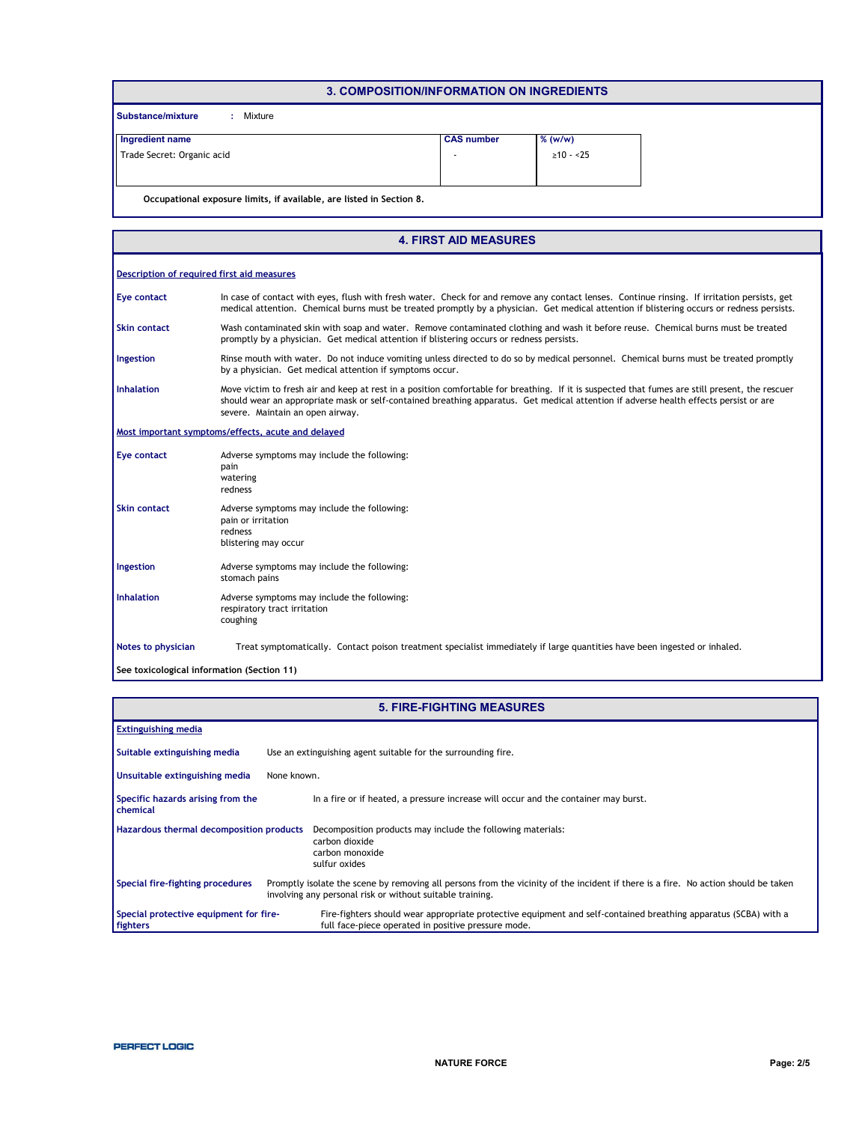| 3. COMPOSITION/INFORMATION ON INGREDIENTS                            |                   |                |
|----------------------------------------------------------------------|-------------------|----------------|
| Substance/mixture<br>Mixture<br>$\mathcal{L}$                        |                   |                |
| Ingredient name                                                      | <b>CAS number</b> | $%$ (w/w)      |
| Trade Secret: Organic acid                                           | ٠                 | $\geq 10 - 25$ |
|                                                                      |                   |                |
| Occupational exposure limits, if available, are listed in Section 8. |                   |                |

|                                            | <b>4. FIRST AID MEASURES</b>                                                                                                                                                                                                                                                                                                 |
|--------------------------------------------|------------------------------------------------------------------------------------------------------------------------------------------------------------------------------------------------------------------------------------------------------------------------------------------------------------------------------|
| Description of required first aid measures |                                                                                                                                                                                                                                                                                                                              |
| <b>Eye contact</b>                         | In case of contact with eyes, flush with fresh water. Check for and remove any contact lenses. Continue rinsing. If irritation persists, get<br>medical attention. Chemical burns must be treated promptly by a physician. Get medical attention if blistering occurs or redness persists.                                   |
| <b>Skin contact</b>                        | Wash contaminated skin with soap and water. Remove contaminated clothing and wash it before reuse. Chemical burns must be treated<br>promptly by a physician. Get medical attention if blistering occurs or redness persists.                                                                                                |
| Ingestion                                  | Rinse mouth with water. Do not induce vomiting unless directed to do so by medical personnel. Chemical burns must be treated promptly<br>by a physician. Get medical attention if symptoms occur.                                                                                                                            |
| <b>Inhalation</b>                          | Move victim to fresh air and keep at rest in a position comfortable for breathing. If it is suspected that fumes are still present, the rescuer<br>should wear an appropriate mask or self-contained breathing apparatus. Get medical attention if adverse health effects persist or are<br>severe. Maintain an open airway. |
|                                            | Most important symptoms/effects, acute and delayed                                                                                                                                                                                                                                                                           |
| <b>Eye contact</b>                         | Adverse symptoms may include the following:<br>pain<br>watering<br>redness                                                                                                                                                                                                                                                   |
| <b>Skin contact</b>                        | Adverse symptoms may include the following:<br>pain or irritation<br>redness<br>blistering may occur                                                                                                                                                                                                                         |
| Ingestion                                  | Adverse symptoms may include the following:<br>stomach pains                                                                                                                                                                                                                                                                 |
| Inhalation                                 | Adverse symptoms may include the following:<br>respiratory tract irritation<br>coughing                                                                                                                                                                                                                                      |
| Notes to physician                         | Treat symptomatically. Contact poison treatment specialist immediately if large quantities have been ingested or inhaled.                                                                                                                                                                                                    |
| See toxicological information (Section 11) |                                                                                                                                                                                                                                                                                                                              |

|                                                    | <b>5. FIRE-FIGHTING MEASURES</b>                                                                                                                                                                |  |
|----------------------------------------------------|-------------------------------------------------------------------------------------------------------------------------------------------------------------------------------------------------|--|
| <b>Extinguishing media</b>                         |                                                                                                                                                                                                 |  |
| Suitable extinguishing media                       | Use an extinguishing agent suitable for the surrounding fire.                                                                                                                                   |  |
| Unsuitable extinguishing media                     | None known.                                                                                                                                                                                     |  |
| Specific hazards arising from the<br>chemical      | In a fire or if heated, a pressure increase will occur and the container may burst.                                                                                                             |  |
| Hazardous thermal decomposition products           | Decomposition products may include the following materials:<br>carbon dioxide<br>carbon monoxide<br>sulfur oxides                                                                               |  |
| Special fire-fighting procedures                   | Promptly isolate the scene by removing all persons from the vicinity of the incident if there is a fire. No action should be taken<br>involving any personal risk or without suitable training. |  |
| Special protective equipment for fire-<br>fighters | Fire-fighters should wear appropriate protective equipment and self-contained breathing apparatus (SCBA) with a<br>full face-piece operated in positive pressure mode.                          |  |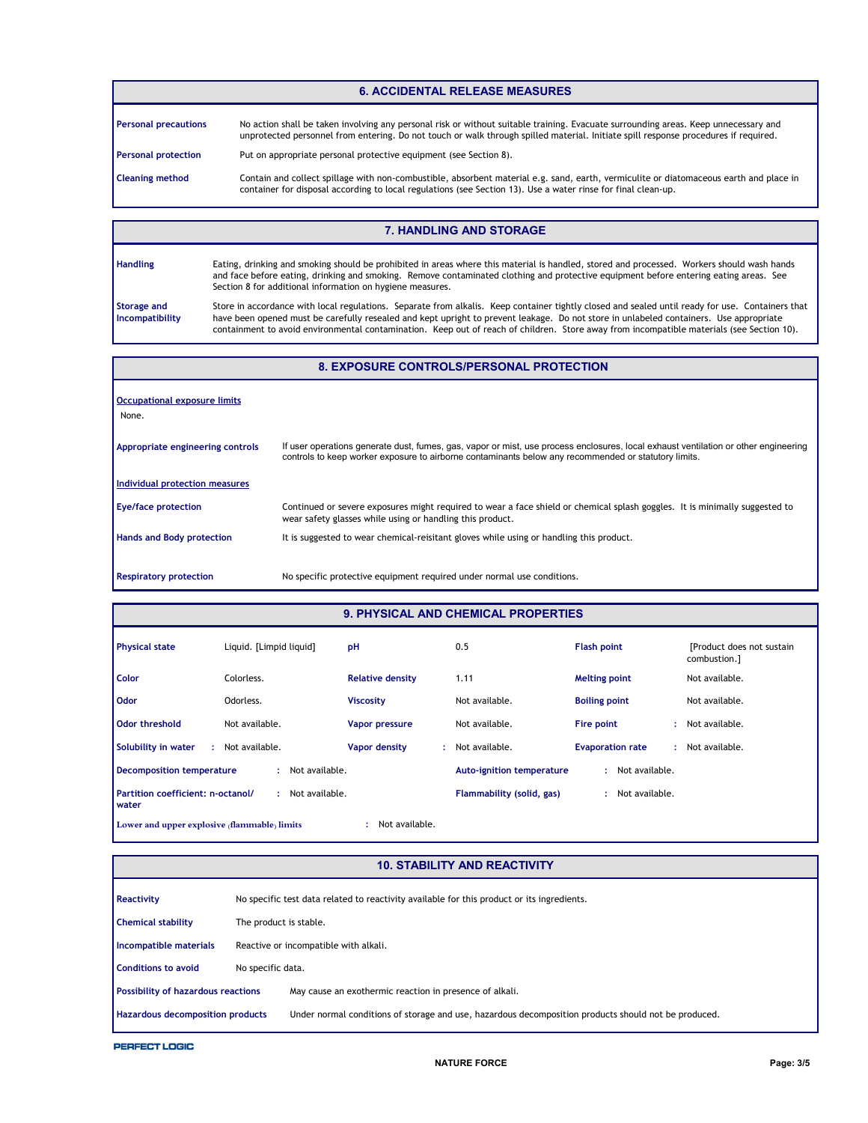#### **6. ACCIDENTAL RELEASE MEASURES**

| <b>Personal precautions</b> | No action shall be taken involving any personal risk or without suitable training. Evacuate surrounding areas. Keep unnecessary and<br>unprotected personnel from entering. Do not touch or walk through spilled material. Initiate spill response procedures if required. |
|-----------------------------|----------------------------------------------------------------------------------------------------------------------------------------------------------------------------------------------------------------------------------------------------------------------------|
| <b>Personal protection</b>  | Put on appropriate personal protective equipment (see Section 8).                                                                                                                                                                                                          |
| <b>Cleaning method</b>      | Contain and collect spillage with non-combustible, absorbent material e.g. sand, earth, vermiculite or diatomaceous earth and place in<br>container for disposal according to local regulations (see Section 13). Use a water rinse for final clean-up.                    |

#### **7. HANDLING AND STORAGE**

| <b>Handling</b>                       | Eating, drinking and smoking should be prohibited in areas where this material is handled, stored and processed. Workers should wash hands<br>and face before eating, drinking and smoking. Remove contaminated clothing and protective equipment before entering eating areas. See<br>Section 8 for additional information on hygiene measures.                                                                                        |
|---------------------------------------|-----------------------------------------------------------------------------------------------------------------------------------------------------------------------------------------------------------------------------------------------------------------------------------------------------------------------------------------------------------------------------------------------------------------------------------------|
| <b>Storage and</b><br>Incompatibility | Store in accordance with local regulations. Separate from alkalis. Keep container tightly closed and sealed until ready for use. Containers that<br>have been opened must be carefully resealed and kept upright to prevent leakage. Do not store in unlabeled containers. Use appropriate<br>containment to avoid environmental contamination. Keep out of reach of children. Store away from incompatible materials (see Section 10). |

#### **8. EXPOSURE CONTROLS/PERSONAL PROTECTION**

| <b>Occupational exposure limits</b><br>None. |                                                                                                                                                                                                                                             |
|----------------------------------------------|---------------------------------------------------------------------------------------------------------------------------------------------------------------------------------------------------------------------------------------------|
| Appropriate engineering controls             | If user operations generate dust, fumes, gas, vapor or mist, use process enclosures, local exhaust ventilation or other engineering<br>controls to keep worker exposure to airborne contaminants below any recommended or statutory limits. |
| Individual protection measures               |                                                                                                                                                                                                                                             |
| <b>Eye/face protection</b>                   | Continued or severe exposures might required to wear a face shield or chemical splash goggles. It is minimally suggested to<br>wear safety glasses while using or handling this product.                                                    |
| <b>Hands and Body protection</b>             | It is suggested to wear chemical-reisitant gloves while using or handling this product.                                                                                                                                                     |
| <b>Respiratory protection</b>                | No specific protective equipment required under normal use conditions.                                                                                                                                                                      |

### **9. PHYSICAL AND CHEMICAL PROPERTIES**

| <b>Physical state</b>                             | Liguid. [Limpid liguid]  | pH                      | 0.5                              | <b>Flash point</b>      | [Product does not sustain]<br>combustion.] |
|---------------------------------------------------|--------------------------|-------------------------|----------------------------------|-------------------------|--------------------------------------------|
| <b>Color</b>                                      | Colorless.               | <b>Relative density</b> | 1.11                             | <b>Melting point</b>    | Not available.                             |
| <b>Odor</b>                                       | Odorless.                | <b>Viscosity</b>        | Not available.                   | <b>Boiling point</b>    | Not available.                             |
| <b>Odor threshold</b>                             | Not available.           | <b>Vapor pressure</b>   | Not available.                   | Fire point              | Not available.                             |
| Solubility in water<br>÷.                         | Not available.           | Vapor density<br>÷.     | Not available.                   | <b>Evaporation rate</b> | Not available.                             |
| Decomposition temperature                         | Not available.<br>$\sim$ |                         | <b>Auto-ignition temperature</b> | Not available.<br>۰     |                                            |
| Partition coefficient: n-octanol/<br><b>water</b> | Not available.           |                         | Flammability (solid, gas)        | Not available.<br>٠     |                                            |
| Lower and upper explosive (flammable) limits      |                          | Not available.          |                                  |                         |                                            |

#### **10. STABILITY AND REACTIVITY**

| Reactivity                                |                        | No specific test data related to reactivity available for this product or its ingredients.           |
|-------------------------------------------|------------------------|------------------------------------------------------------------------------------------------------|
| <b>Chemical stability</b>                 | The product is stable. |                                                                                                      |
| Incompatible materials                    |                        | Reactive or incompatible with alkali.                                                                |
| <b>Conditions to avoid</b>                | No specific data.      |                                                                                                      |
| <b>Possibility of hazardous reactions</b> |                        | May cause an exothermic reaction in presence of alkali.                                              |
| Hazardous decomposition products          |                        | Under normal conditions of storage and use, hazardous decomposition products should not be produced. |
|                                           |                        |                                                                                                      |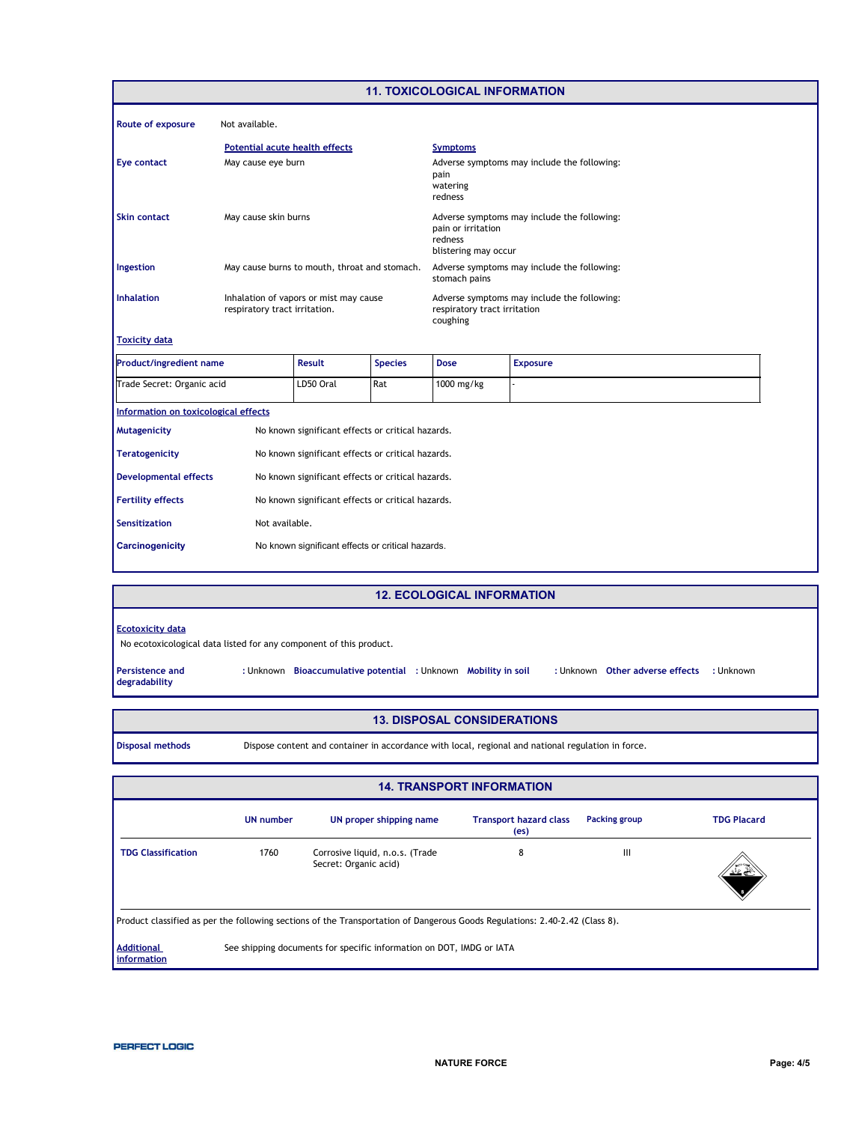|                                      |                                       |                                                   |                | <b>11. TOXICOLOGICAL INFORMATION</b>                  |                                             |
|--------------------------------------|---------------------------------------|---------------------------------------------------|----------------|-------------------------------------------------------|---------------------------------------------|
| <b>Route of exposure</b>             | Not available.                        |                                                   |                |                                                       |                                             |
|                                      | <b>Potential acute health effects</b> |                                                   |                | <b>Symptoms</b>                                       |                                             |
| <b>Eye contact</b>                   | May cause eye burn                    |                                                   |                | pain<br>watering<br>redness                           | Adverse symptoms may include the following: |
| <b>Skin contact</b>                  | May cause skin burns                  |                                                   |                | pain or irritation<br>redness<br>blistering may occur | Adverse symptoms may include the following: |
| Ingestion                            |                                       | May cause burns to mouth, throat and stomach.     |                | stomach pains                                         | Adverse symptoms may include the following: |
| <b>Inhalation</b>                    | respiratory tract irritation.         | Inhalation of vapors or mist may cause            |                | respiratory tract irritation<br>coughing              | Adverse symptoms may include the following: |
| <b>Toxicity data</b>                 |                                       |                                                   |                |                                                       |                                             |
| <b>Product/ingredient name</b>       |                                       | <b>Result</b>                                     | <b>Species</b> | <b>Dose</b>                                           | <b>Exposure</b>                             |
| Trade Secret: Organic acid           |                                       | LD50 Oral                                         | Rat            | 1000 mg/kg                                            |                                             |
| Information on toxicological effects |                                       |                                                   |                |                                                       |                                             |
| <b>Mutagenicity</b>                  |                                       | No known significant effects or critical hazards. |                |                                                       |                                             |
| <b>Teratogenicity</b>                |                                       | No known significant effects or critical hazards. |                |                                                       |                                             |
| <b>Developmental effects</b>         |                                       | No known significant effects or critical hazards. |                |                                                       |                                             |
| <b>Fertility effects</b>             |                                       | No known significant effects or critical hazards. |                |                                                       |                                             |
| <b>Sensitization</b>                 | Not available.                        |                                                   |                |                                                       |                                             |
| <b>Carcinogenicity</b>               |                                       | No known significant effects or critical hazards. |                |                                                       |                                             |
|                                      |                                       |                                                   |                |                                                       |                                             |

#### **12. ECOLOGICAL INFORMATION**

| <b>Ecotoxicity data</b> |
|-------------------------|
|-------------------------|

No ecotoxicological data listed for any component of this product.

**Persistence and degradability**

: Unknown Other adverse effects : Unknown **Bioaccumulative potential Mobility in soil :** Unknown **:** Unknown **:** Unknown **:** Unknown

- **13. DISPOSAL CONSIDERATIONS**
- **Disposal methods** Dispose content and container in accordance with local, regional and national regulation in force.

| <b>14. TRANSPORT INFORMATION</b>                                                                                            |                  |                                                          |                                       |               |                    |  |  |  |
|-----------------------------------------------------------------------------------------------------------------------------|------------------|----------------------------------------------------------|---------------------------------------|---------------|--------------------|--|--|--|
|                                                                                                                             | <b>UN</b> number | UN proper shipping name                                  | <b>Transport hazard class</b><br>(es) | Packing group | <b>TDG Placard</b> |  |  |  |
| <b>TDG Classification</b>                                                                                                   | 1760             | Corrosive liquid, n.o.s. (Trade<br>Secret: Organic acid) | 8                                     | Ш             | مختصف              |  |  |  |
| Product classified as per the following sections of the Transportation of Dangerous Goods Regulations: 2.40-2.42 (Class 8). |                  |                                                          |                                       |               |                    |  |  |  |
| <b>Additional</b><br>See shipping documents for specific information on DOT, IMDG or IATA<br>information                    |                  |                                                          |                                       |               |                    |  |  |  |